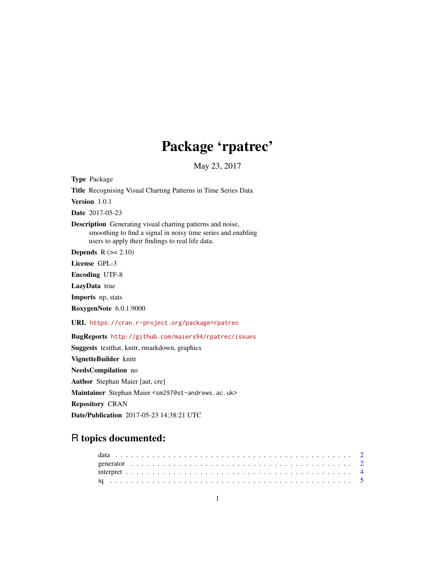# Package 'rpatrec'

May 23, 2017

<span id="page-0-0"></span>Type Package

Title Recognising Visual Charting Patterns in Time Series Data

Version 1.0.1

Date 2017-05-23

Description Generating visual charting patterns and noise, smoothing to find a signal in noisy time series and enabling users to apply their findings to real life data.

**Depends**  $R$  ( $>= 2.10$ )

License GPL-3

Encoding UTF-8

LazyData true

Imports np, stats

RoxygenNote 6.0.1.9000

URL <https://cran.r-project.org/package=rpatrec>

BugReports <http://github.com/maiers94/rpatrec/issues>

Suggests testthat, knitr, rmarkdown, graphics

VignetteBuilder knitr

NeedsCompilation no

Author Stephan Maier [aut, cre]

Maintainer Stephan Maier <sm297@st-andrews.ac.uk>

Repository CRAN

Date/Publication 2017-05-23 14:38:21 UTC

# R topics documented: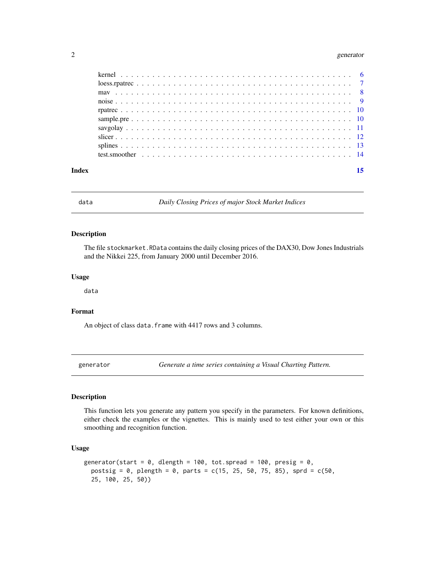#### <span id="page-1-0"></span>2 generator and the set of the set of the set of the set of the set of the set of the set of the set of the set of the set of the set of the set of the set of the set of the set of the set of the set of the set of the set

| Index |  |  |  |  |  |  |  |  |  |  |  |  |  |  |  |  |  |  |  | 15 |
|-------|--|--|--|--|--|--|--|--|--|--|--|--|--|--|--|--|--|--|--|----|
|       |  |  |  |  |  |  |  |  |  |  |  |  |  |  |  |  |  |  |  |    |
|       |  |  |  |  |  |  |  |  |  |  |  |  |  |  |  |  |  |  |  |    |
|       |  |  |  |  |  |  |  |  |  |  |  |  |  |  |  |  |  |  |  |    |
|       |  |  |  |  |  |  |  |  |  |  |  |  |  |  |  |  |  |  |  |    |
|       |  |  |  |  |  |  |  |  |  |  |  |  |  |  |  |  |  |  |  |    |
|       |  |  |  |  |  |  |  |  |  |  |  |  |  |  |  |  |  |  |  |    |
|       |  |  |  |  |  |  |  |  |  |  |  |  |  |  |  |  |  |  |  |    |
|       |  |  |  |  |  |  |  |  |  |  |  |  |  |  |  |  |  |  |  |    |
|       |  |  |  |  |  |  |  |  |  |  |  |  |  |  |  |  |  |  |  |    |
|       |  |  |  |  |  |  |  |  |  |  |  |  |  |  |  |  |  |  |  |    |

<span id="page-1-2"></span>

data *Daily Closing Prices of major Stock Market Indices*

# Description

The file stockmarket.RData contains the daily closing prices of the DAX30, Dow Jones Industrials and the Nikkei 225, from January 2000 until December 2016.

# Usage

data

# Format

An object of class data. frame with 4417 rows and 3 columns.

<span id="page-1-1"></span>generator *Generate a time series containing a Visual Charting Pattern.*

#### Description

This function lets you generate any pattern you specify in the parameters. For known definitions, either check the examples or the vignettes. This is mainly used to test either your own or this smoothing and recognition function.

### Usage

```
generator(start = 0, dlength = 100, tot.spread = 100, presig = 0,
 postsig = 0, plength = 0, parts = c(15, 25, 50, 75, 85), sprd = c(50,
  25, 100, 25, 50))
```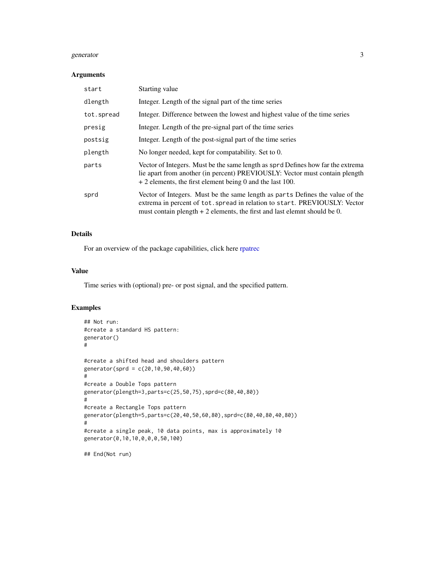#### <span id="page-2-0"></span>generator 3

#### Arguments

| start      | Starting value                                                                                                                                                                                                                            |
|------------|-------------------------------------------------------------------------------------------------------------------------------------------------------------------------------------------------------------------------------------------|
| dlength    | Integer. Length of the signal part of the time series                                                                                                                                                                                     |
| tot.spread | Integer. Difference between the lowest and highest value of the time series                                                                                                                                                               |
| presig     | Integer. Length of the pre-signal part of the time series                                                                                                                                                                                 |
| postsig    | Integer. Length of the post-signal part of the time series                                                                                                                                                                                |
| plength    | No longer needed, kept for compatability. Set to 0.                                                                                                                                                                                       |
| parts      | Vector of Integers. Must be the same length as sprd Defines how far the extrema<br>lie apart from another (in percent) PREVIOUSLY: Vector must contain plength<br>$+ 2$ elements, the first element being 0 and the last 100.             |
| sprd       | Vector of Integers. Must be the same length as parts Defines the value of the<br>extrema in percent of tot. spread in relation to start. PREVIOUSLY: Vector<br>must contain plength $+2$ elements, the first and last elemnt should be 0. |

## Details

For an overview of the package capabilities, click here [rpatrec](#page-9-1)

# Value

Time series with (optional) pre- or post signal, and the specified pattern.

# Examples

```
## Not run:
#create a standard HS pattern:
generator()
#
#create a shifted head and shoulders pattern
generator(sprd = c(20,10,90,40,60))
#
#create a Double Tops pattern
generator(plength=3,parts=c(25,50,75),sprd=c(80,40,80))
#
#create a Rectangle Tops pattern
generator(plength=5,parts=c(20,40,50,60,80),sprd=c(80,40,80,40,80))
#
#create a single peak, 10 data points, max is approximately 10
generator(0,10,10,0,0,0,50,100)
```
## End(Not run)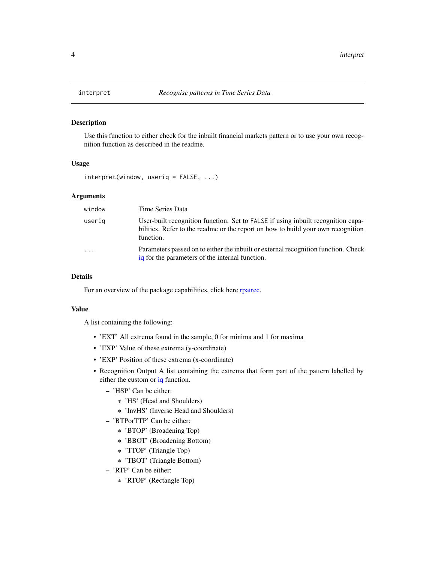Use this function to either check for the inbuilt financial markets pattern or to use your own recognition function as described in the readme.

# Usage

interpret(window, useriq = FALSE, ...)

#### Arguments

| window | Time Series Data                                                                                                                                                                  |
|--------|-----------------------------------------------------------------------------------------------------------------------------------------------------------------------------------|
| userig | User-built recognition function. Set to FALSE if using inbuilt recognition capa-<br>bilities. Refer to the readme or the report on how to build your own recognition<br>function. |
| .      | Parameters passed on to either the inbuilt or external recognition function. Check<br>iq for the parameters of the internal function.                                             |

#### Details

For an overview of the package capabilities, click here [rpatrec.](#page-9-1)

#### Value

A list containing the following:

- 'EXT' All extrema found in the sample, 0 for minima and 1 for maxima
- 'EXP' Value of these extrema (y-coordinate)
- 'EXP' Position of these extrema (x-coordinate)
- Recognition Output A list containing the extrema that form part of the pattern labelled by either the custom or [iq](#page-4-1) function.
	- 'HSP' Can be either:
		- \* 'HS' (Head and Shoulders)
		- \* 'InvHS' (Inverse Head and Shoulders)
	- 'BTPorTTP' Can be either:
		- \* 'BTOP' (Broadening Top)
		- \* 'BBOT' (Broadening Bottom)
		- \* 'TTOP' (Triangle Top)
		- \* 'TBOT' (Triangle Bottom)
	- 'RTP' Can be either:
		- \* 'RTOP' (Rectangle Top)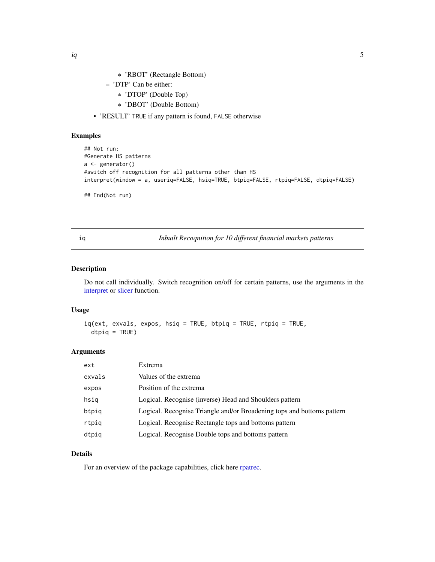- \* 'RBOT' (Rectangle Bottom)
- <span id="page-4-0"></span>– 'DTP' Can be either:
	- \* 'DTOP' (Double Top)
	- \* 'DBOT' (Double Bottom)
- 'RESULT' TRUE if any pattern is found, FALSE otherwise

# Examples

```
## Not run:
#Generate HS patterns
a <- generator()
#switch off recognition for all patterns other than HS
interpret(window = a, useriq=FALSE, hsiq=TRUE, btpiq=FALSE, rtpiq=FALSE, dtpiq=FALSE)
```

```
## End(Not run)
```
<span id="page-4-1"></span>iq *Inbuilt Recoqnition for 10 different financial markets patterns*

# Description

Do not call individually. Switch recognition on/off for certain patterns, use the arguments in the [interpret](#page-3-1) or [slicer](#page-11-1) function.

#### Usage

```
iq(ext, exvals, expos, hsiq = TRUE, btpiq = TRUE, rtpiq = TRUE,
 dtpiq = TRUE)
```
### Arguments

| ext    | Extrema                                                                |
|--------|------------------------------------------------------------------------|
| exvals | Values of the extrema                                                  |
| expos  | Position of the extrema                                                |
| hsiq   | Logical. Recognise (inverse) Head and Shoulders pattern                |
| btpiq  | Logical. Recognise Triangle and/or Broadening tops and bottoms pattern |
| rtpiq  | Logical. Recognise Rectangle tops and bottoms pattern                  |
| dtpiq  | Logical. Recognise Double tops and bottoms pattern                     |

#### Details

For an overview of the package capabilities, click here [rpatrec.](#page-9-1)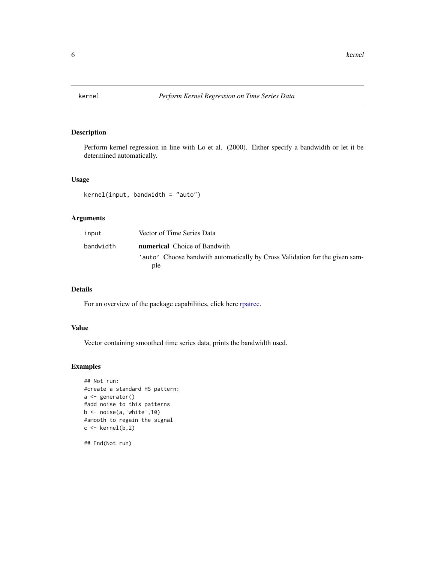<span id="page-5-1"></span><span id="page-5-0"></span>

Perform kernel regression in line with Lo et al. (2000). Either specify a bandwidth or let it be determined automatically.

#### Usage

kernel(input, bandwidth = "auto")

# Arguments

| input     | Vector of Time Series Data                                                         |
|-----------|------------------------------------------------------------------------------------|
| bandwidth | <b>numerical</b> Choice of Bandwith                                                |
|           | 'auto' Choose bandwith automatically by Cross Validation for the given sam-<br>ple |

# Details

For an overview of the package capabilities, click here [rpatrec.](#page-9-1)

# Value

Vector containing smoothed time series data, prints the bandwidth used.

#### Examples

```
## Not run:
#create a standard HS pattern:
a <- generator()
#add noise to this patterns
b \le -\n  noise(a, 'white', 10)#smooth to regain the signal
c \leftarrow \text{kernel}(b,2)
```
## End(Not run)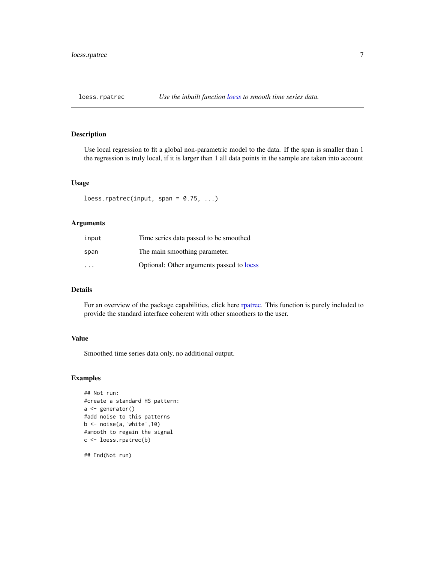<span id="page-6-1"></span><span id="page-6-0"></span>

Use local regression to fit a global non-parametric model to the data. If the span is smaller than 1 the regression is truly local, if it is larger than 1 all data points in the sample are taken into account

#### Usage

```
loess.rpatrec(input, span = 0.75, ...)
```
# Arguments

| input                   | Time series data passed to be smoothed   |
|-------------------------|------------------------------------------|
| span                    | The main smoothing parameter.            |
| $\cdot$ $\cdot$ $\cdot$ | Optional: Other arguments passed to loss |

# Details

For an overview of the package capabilities, click here [rpatrec.](#page-9-1) This function is purely included to provide the standard interface coherent with other smoothers to the user.

#### Value

Smoothed time series data only, no additional output.

```
## Not run:
#create a standard HS pattern:
a <- generator()
#add noise to this patterns
b \leftarrow noise(a,'white',10)#smooth to regain the signal
c <- loess.rpatrec(b)
## End(Not run)
```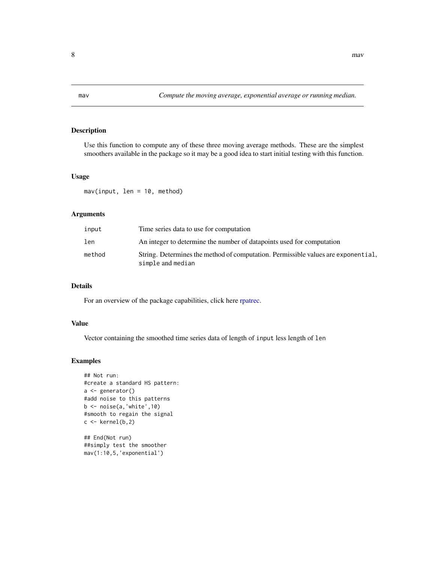<span id="page-7-1"></span><span id="page-7-0"></span>

Use this function to compute any of these three moving average methods. These are the simplest smoothers available in the package so it may be a good idea to start initial testing with this function.

#### Usage

mav(input, len = 10, method)

# Arguments

| input  | Time series data to use for computation                                                                |
|--------|--------------------------------------------------------------------------------------------------------|
| len    | An integer to determine the number of datapoints used for computation                                  |
| method | String. Determines the method of computation. Permissible values are exponential.<br>simple and median |

# Details

For an overview of the package capabilities, click here [rpatrec.](#page-9-1)

#### Value

Vector containing the smoothed time series data of length of input less length of len

#### Examples

```
## Not run:
#create a standard HS pattern:
a <- generator()
#add noise to this patterns
b \le -\n  noise(a, 'white', 10)#smooth to regain the signal
c \leftarrow \text{kernel}(b, 2)## End(Not run)
##simply test the smoother
```
mav(1:10,5,'exponential')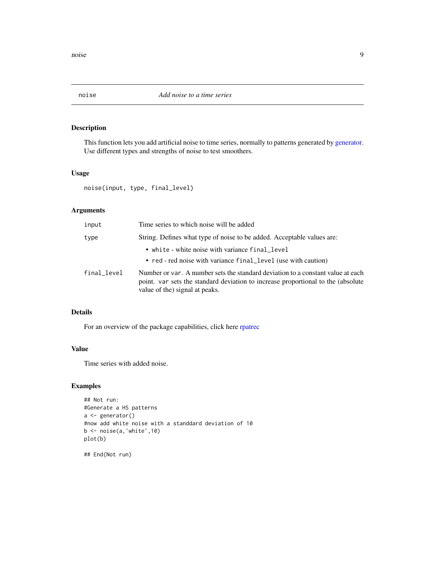<span id="page-8-1"></span><span id="page-8-0"></span>

This function lets you add artificial noise to time series, normally to patterns generated by [generator.](#page-1-1) Use different types and strengths of noise to test smoothers.

#### Usage

noise(input, type, final\_level)

# Arguments

| input       | Time series to which noise will be added                                                                                                                                                             |
|-------------|------------------------------------------------------------------------------------------------------------------------------------------------------------------------------------------------------|
| type        | String. Defines what type of noise to be added. Acceptable values are:                                                                                                                               |
|             | • white - white noise with variance final_level<br>• red - red noise with variance final_level (use with caution)                                                                                    |
| final_level | Number or var. A number sets the standard deviation to a constant value at each<br>point. var sets the standard deviation to increase proportional to the (absolute<br>value of the signal at peaks. |

# Details

For an overview of the package capabilities, click here [rpatrec](#page-9-1)

# Value

Time series with added noise.

```
## Not run:
#Generate a HS patterns
a <- generator()
#now add white noise with a standdard deviation of 10
b <- noise(a,'white',10)
plot(b)
## End(Not run)
```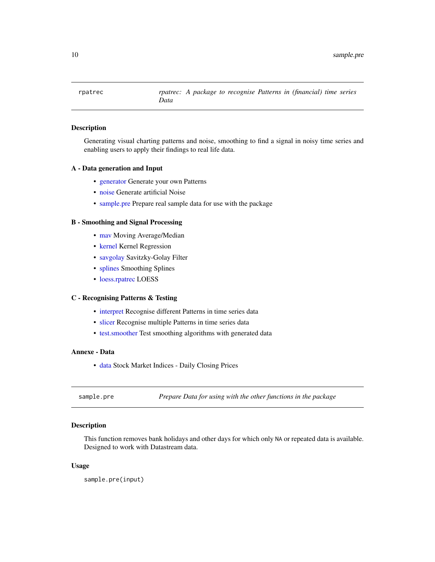<span id="page-9-1"></span><span id="page-9-0"></span>

Generating visual charting patterns and noise, smoothing to find a signal in noisy time series and enabling users to apply their findings to real life data.

#### A - Data generation and Input

- [generator](#page-1-1) Generate your own Patterns
- [noise](#page-8-1) Generate artificial Noise
- [sample.pre](#page-9-2) Prepare real sample data for use with the package

# B - Smoothing and Signal Processing

- [mav](#page-7-1) Moving Average/Median
- [kernel](#page-5-1) Kernel Regression
- [savgolay](#page-10-1) Savitzky-Golay Filter
- [splines](#page-12-1) Smoothing Splines
- [loess.rpatrec](#page-6-1) LOESS

#### C - Recognising Patterns & Testing

- [interpret](#page-3-1) Recognise different Patterns in time series data
- [slicer](#page-11-1) Recognise multiple Patterns in time series data
- [test.smoother](#page-13-1) Test smoothing algorithms with generated data

## Annexe - Data

• [data](#page-1-2) Stock Market Indices - Daily Closing Prices

<span id="page-9-2"></span>sample.pre *Prepare Data for using with the other functions in the package*

# Description

This function removes bank holidays and other days for which only NA or repeated data is available. Designed to work with Datastream data.

#### Usage

sample.pre(input)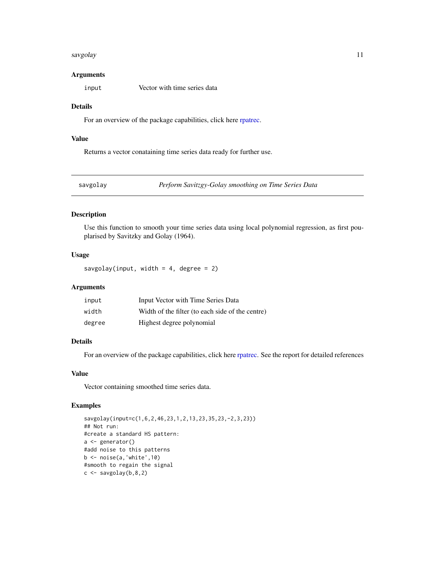#### <span id="page-10-0"></span>savgolay tidak karena karena karena karena karena karena karena karena karena karena karena karena karena kare

#### Arguments

input Vector with time series data

#### Details

For an overview of the package capabilities, click here [rpatrec.](#page-9-1)

#### Value

Returns a vector conataining time series data ready for further use.

<span id="page-10-1"></span>savgolay *Perform Savitzgy-Golay smoothing on Time Series Data*

# Description

Use this function to smooth your time series data using local polynomial regression, as first pouplarised by Savitzky and Golay (1964).

#### Usage

savgolay(input, width =  $4$ , degree =  $2$ )

#### Arguments

| input  | Input Vector with Time Series Data               |
|--------|--------------------------------------------------|
| width  | Width of the filter (to each side of the centre) |
| degree | Highest degree polynomial                        |

# Details

For an overview of the package capabilities, click here [rpatrec.](#page-9-1) See the report for detailed references

#### Value

Vector containing smoothed time series data.

```
savgolay(input=c(1,6,2,46,23,1,2,13,23,35,23,-2,3,23))
## Not run:
#create a standard HS pattern:
a <- generator()
#add noise to this patterns
b \le -\n  noise(a, 'white', 10)#smooth to regain the signal
c \leftarrow savgolay(b, 8, 2)
```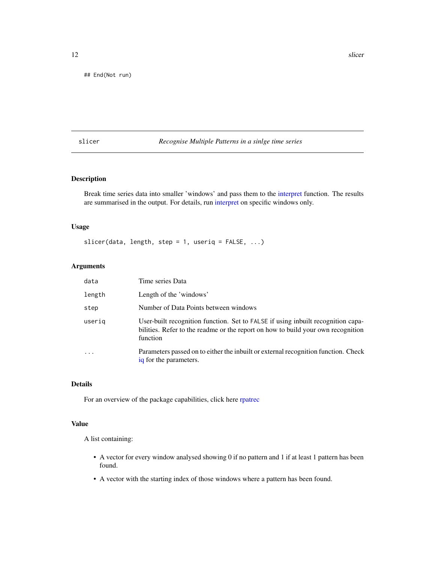<span id="page-11-0"></span>## End(Not run)

# <span id="page-11-1"></span>slicer *Recognise Multiple Patterns in a sinlge time series*

# Description

Break time series data into smaller 'windows' and pass them to the [interpret](#page-3-1) function. The results are summarised in the output. For details, run [interpret](#page-3-1) on specific windows only.

#### Usage

slicer(data, length, step = 1, useriq =  $FALSE$ , ...)

#### Arguments

| data   | Time series Data                                                                                                                                                                 |
|--------|----------------------------------------------------------------------------------------------------------------------------------------------------------------------------------|
| length | Length of the 'windows'                                                                                                                                                          |
| step   | Number of Data Points between windows                                                                                                                                            |
| useriq | User-built recognition function. Set to FALSE if using inbuilt recognition capa-<br>bilities. Refer to the readme or the report on how to build your own recognition<br>function |
| .      | Parameters passed on to either the inbuilt or external recognition function. Check<br>iq for the parameters.                                                                     |

#### Details

For an overview of the package capabilities, click here [rpatrec](#page-9-1)

# Value

A list containing:

- A vector for every window analysed showing 0 if no pattern and 1 if at least 1 pattern has been found.
- A vector with the starting index of those windows where a pattern has been found.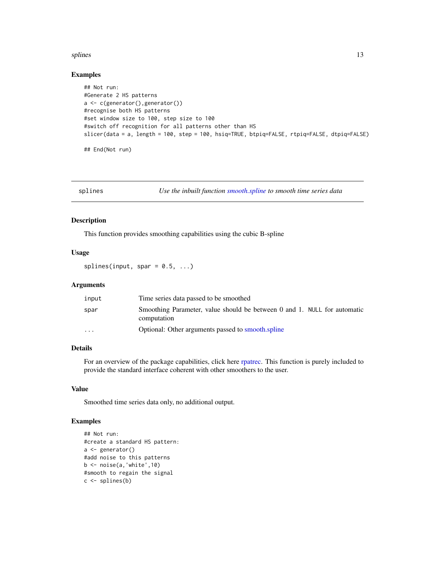#### <span id="page-12-0"></span>splines and the splines of the splines of the splines of the splines of the splines of the splines of the splines of the splines of the splines of the splines of the splines of the splines of the splines of the splines of

#### Examples

```
## Not run:
#Generate 2 HS patterns
a <- c(generator(),generator())
#recognise both HS patterns
#set window size to 100, step size to 100
#switch off recognition for all patterns other than HS
slicer(data = a, length = 100, step = 100, hsiq=TRUE, btpiq=FALSE, rtpiq=FALSE, dtpiq=FALSE)
## End(Not run)
```
<span id="page-12-1"></span>splines *Use the inbuilt function [smooth.spline](#page-0-0) to smooth time series data*

#### Description

This function provides smoothing capabilities using the cubic B-spline

#### Usage

splines(input, spar =  $0.5, ...$ )

# Arguments

| input                   | Time series data passed to be smoothed                                                  |
|-------------------------|-----------------------------------------------------------------------------------------|
| spar                    | Smoothing Parameter, value should be between 0 and 1. NULL for automatic<br>computation |
| $\cdot$ $\cdot$ $\cdot$ | Optional: Other arguments passed to smooth spline                                       |

# Details

For an overview of the package capabilities, click here [rpatrec.](#page-9-1) This function is purely included to provide the standard interface coherent with other smoothers to the user.

# Value

Smoothed time series data only, no additional output.

```
## Not run:
#create a standard HS pattern:
a <- generator()
#add noise to this patterns
b \le -\nnoise(a, 'white', 10)#smooth to regain the signal
c <- splines(b)
```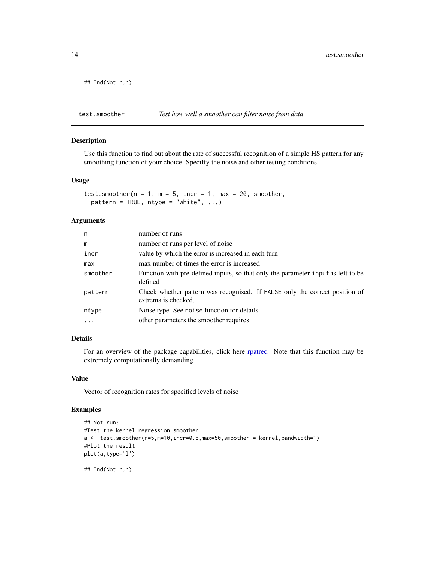```
## End(Not run)
```
#### <span id="page-13-1"></span>test.smoother *Test how well a smoother can filter noise from data*

#### Description

Use this function to find out about the rate of successful recognition of a simple HS pattern for any smoothing function of your choice. Speciffy the noise and other testing conditions.

#### Usage

```
test.smoother(n = 1, m = 5, incr = 1, max = 20, smoother,
 pattern = TRUE, ntype = "white", ...)
```
#### Arguments

| number of runs                                                                                     |
|----------------------------------------------------------------------------------------------------|
| number of runs per level of noise                                                                  |
| value by which the error is increased in each turn                                                 |
| max number of times the error is increased                                                         |
| Function with pre-defined inputs, so that only the parameter input is left to be<br>defined        |
| Check whether pattern was recognised. If FALSE only the correct position of<br>extrema is checked. |
| Noise type. See noise function for details.                                                        |
| other parameters the smoother requires                                                             |
|                                                                                                    |

# Details

For an overview of the package capabilities, click here [rpatrec.](#page-9-1) Note that this function may be extremely computationally demanding.

#### Value

Vector of recognition rates for specified levels of noise

# Examples

```
## Not run:
#Test the kernel regression smoother
a <- test.smoother(n=5,m=10,incr=0.5,max=50,smoother = kernel,bandwidth=1)
#Plot the result
plot(a,type='l')
```
## End(Not run)